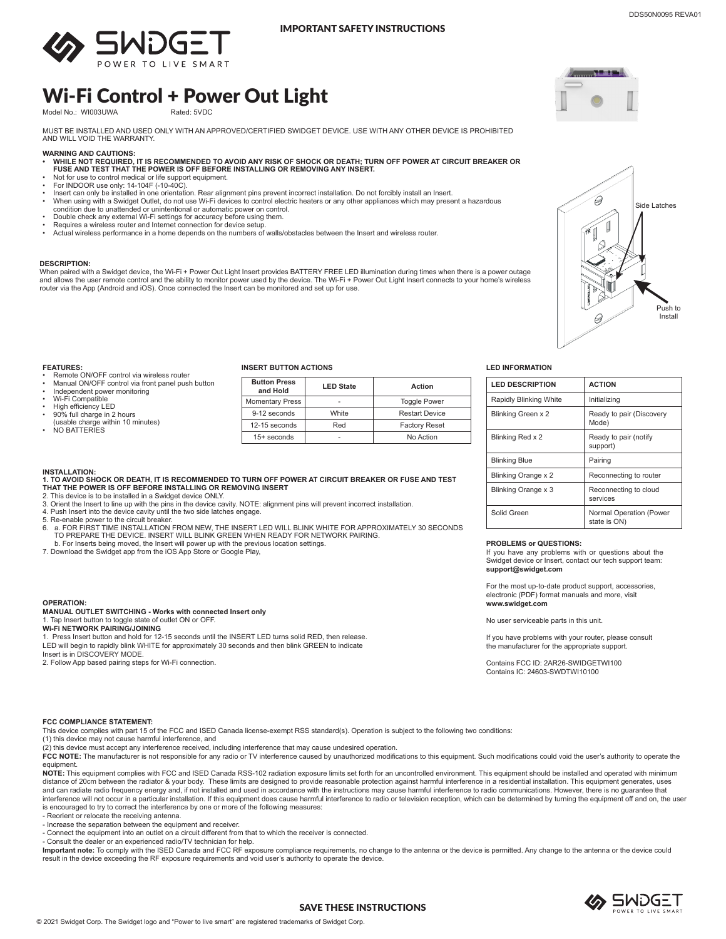

# Wi-Fi Control + Power Out Light

Model No.: WI003UWA

MUST BE INSTALLED AND USED ONLY WITH AN APPROVED/CERTIFIED SWIDGET DEVICE. USE WITH ANY OTHER DEVICE IS PROHIBITED AND WILL VOID THE WARRANTY.

- **WARNING AND CAUTIONS: • WHILE NOT REQUIRED, IT IS RECOMMENDED TO AVOID ANY RISK OF SHOCK OR DEATH; TURN OFF POWER AT CIRCUIT BREAKER OR FUSE AND TEST THAT THE POWER IS OFF BEFORE INSTALLING OR REMOVING ANY INSERT.**
- Not for use to control medical or life support equipment. For INDOOR use only: 14-104F (-10-40C).
- 
- Insert can only be installed in one orientation. Rear alignment pins prevent incorrect installation. Do not forcibly install an Insert.<br>• When using with a Swidget Outlet, do not use Wi-Fi devices to control electr condition due to unattended or unintentional or automatic power on control.
- Double check any external Wi-Fi settings for accuracy before using them.
- Requires a wireless router and Internet connection for device setup.
- Actual wireless performance in a home depends on the numbers of walls/obstacles between the Insert and wireless router.

**1. TO AVOID SHOCK OR DEATH, IT IS RECOMMENDED TO TURN OFF POWER AT CIRCUIT BREAKER OR FUSE AND TEST** 

6. a. FOR FIRST TIME INSTALLATION FROM NEW, THE INSERT LED WILL BLINK WHITE FOR APPROXIMATELY 30 SECONDS .<br>TO PREPARE THE DEVICE. INSERT WILL BLINK GREEN WHEN READY FOR NETWORK PAIRING.

2. This device is to be installed in a Swidget device ONLY. 3. Orient the Insert to line up with the pins in the device cavity. NOTE: alignment pins will prevent incorrect installation.

# **DESCRIPTION:**

When paired with a Swidget device, the Wi-Fi + Power Out Light Insert provides BATTERY FREE LED illumination during times when there is a power outage and allows the user remote control and the ability to monitor power used by the device. The Wi-Fi + Power Out Light Insert connects to your home's wireless<br>router via the App (Android and iOS). Once connected the Insert ca



- Remote ON/OFF control via wireless router
- Manual ON/OFF control via front panel push button
- Independent power monitoring
- Wi-Fi Compatible High efficiency LED
- 
- 90% full charge in 2 hours (usable charge within 10 minutes)
- NO BATTERIES

**INSTALLATION:** 

**OPERATION:**

## **INSERT BUTTON ACTIONS LED INFORMATION**

| <b>Button Press</b><br>and Hold | <b>LED State</b> | Action                |
|---------------------------------|------------------|-----------------------|
| <b>Momentary Press</b>          |                  | <b>Toggle Power</b>   |
| 9-12 seconds                    | White            | <b>Restart Device</b> |
| $12-15$ seconds                 | Red              | <b>Factory Reset</b>  |
| $15+$ seconds                   |                  | No Action             |

| <b>LED DESCRIPTION</b> | <b>ACTION</b>                           |
|------------------------|-----------------------------------------|
| Rapidly Blinking White | Initializing                            |
| Blinking Green x 2     | Ready to pair (Discovery<br>Mode)       |
| Blinking Red x 2       | Ready to pair (notify<br>support)       |
| <b>Blinking Blue</b>   | Pairing                                 |
| Blinking Orange x 2    | Reconnecting to router                  |
| Blinking Orange x 3    | Reconnecting to cloud<br>services       |
| Solid Green            | Normal Operation (Power<br>state is ON) |

## **PROBLEMS or QUESTIONS:**

If you have any problems with or questions about the Swidget device or Insert, contact our tech support team: **support@swidget.com**

For the most up-to-date product support, accessories, electronic (PDF) format manuals and more, visit **www.swidget.com**

No user serviceable parts in this unit.

If you have problems with your router, please consult the manufacturer for the appropriate support.

Contains FCC ID: 2AR26-SWIDGETWI100 Contains IC: 24603-SWDTWI10100

## **FCC COMPLIANCE STATEMENT:**

**Wi-Fi NETWORK PAIRING/JOINING**

5. Re-enable power to the circuit breaker.<br>6. a. FOR FIRST TIME INSTALLATION

Insert is in DISCOVERY MODE.

This device complies with part 15 of the FCC and ISED Canada license-exempt RSS standard(s). Operation is subject to the following two conditions:

(1) this device may not cause harmful interference, and

(2) this device must accept any interference received, including interference that may cause undesired operation.

1. Press Insert button and hold for 12-15 seconds until the INSERT LED turns solid RED, then release. LED will begin to rapidly blink WHITE for approximately 30 seconds and then blink GREEN to indicate

FCC NOTE: The manufacturer is not responsible for any radio or TV interference caused by unauthorized modifications to this equipment. Such modifications could void the user's authority to operate the equipment.

**NOTE:** This equipment complies with FCC and ISED Canada RSS-102 radiation exposure limits set forth for an uncontrolled environment. This equipment should be installed and operated with minimum distance of 20cm between the radiator & your body. These limits are designed to provide reasonable protection against harmful interference in a residential installation. This equipment generates, uses and can radiate radio frequency energy and, if not installed and used in accordance with the instructions may cause harmful interference to radio communications. However, there is no guarantee that<br>interference will not oc is encouraged to try to correct the interference by one or more of the following measures:

- Reorient or relocate the receiving antenna.

- Increase the separation between the equipment and receiver.

- Connect the equipment into an outlet on a circuit different from that to which the receiver is connected.

- Consult the dealer or an experienced radio/TV technician for help.

**MANUAL OUTLET SWITCHING - Works with connected Insert only**

**THAT THE POWER IS OFF BEFORE INSTALLING OR REMOVING INSERT** 

b. For Inserts being moved, the Insert will power up with the previous location settings. 7. Download the Swidget app from the iOS App Store or Google Play,

4. Push Insert into the device cavity until the two side latches engage.

1. Tap Insert button to toggle state of outlet ON or OFF.

2. Follow App based pairing steps for Wi-Fi connection.

**Important note:** To comply with the ISED Canada and FCC RF exposure compliance requirements, no change to the antenna or the device is permitted. Any change to the antenna or the device could<br>result in the device exceedin